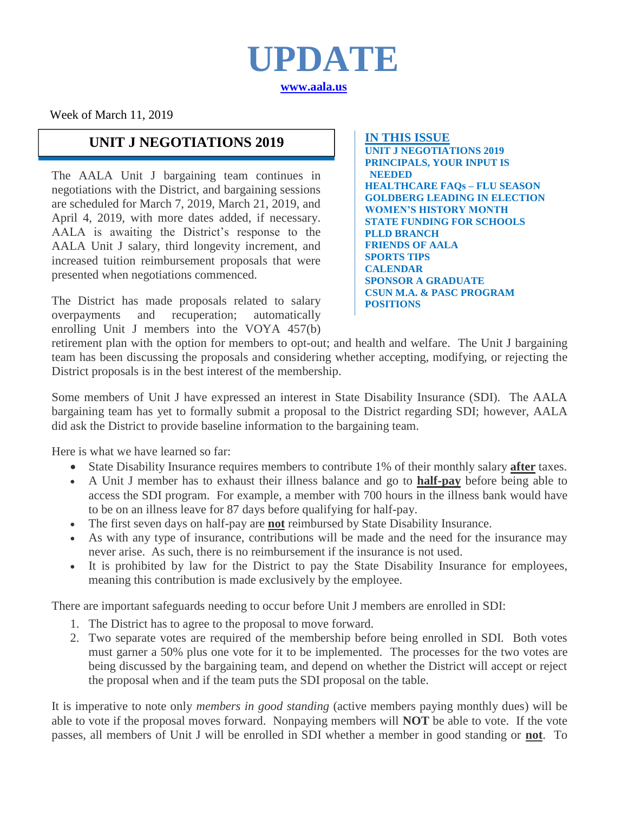

Week of March 11, 2019

### **UNIT J NEGOTIATIONS 2019 IN THIS ISSUE**

The AALA Unit J bargaining team continues in negotiations with the District, and bargaining sessions are scheduled for March 7, 2019, March 21, 2019, and April 4, 2019, with more dates added, if necessary. AALA is awaiting the District's response to the AALA Unit J salary, third longevity increment, and increased tuition reimbursement proposals that were presented when negotiations commenced.

The District has made proposals related to salary overpayments and recuperation; automatically enrolling Unit J members into the VOYA 457(b)

**UNIT J NEGOTIATIONS 2019 PRINCIPALS, YOUR INPUT IS NEEDED HEALTHCARE FAQs – FLU SEASON GOLDBERG LEADING IN ELECTION WOMEN'S HISTORY MONTH STATE FUNDING FOR SCHOOLS PLLD BRANCH FRIENDS OF AALA SPORTS TIPS CALENDAR SPONSOR A GRADUATE CSUN M.A. & PASC PROGRAM POSITIONS**

retirement plan with the option for members to opt-out; and health and welfare. The Unit J bargaining team has been discussing the proposals and considering whether accepting, modifying, or rejecting the District proposals is in the best interest of the membership.

Some members of Unit J have expressed an interest in State Disability Insurance (SDI). The AALA bargaining team has yet to formally submit a proposal to the District regarding SDI; however, AALA did ask the District to provide baseline information to the bargaining team.

Here is what we have learned so far:

- State Disability Insurance requires members to contribute 1% of their monthly salary **after** taxes.
- A Unit J member has to exhaust their illness balance and go to **half-pay** before being able to access the SDI program. For example, a member with 700 hours in the illness bank would have to be on an illness leave for 87 days before qualifying for half-pay.
- The first seven days on half-pay are **not** reimbursed by State Disability Insurance.
- As with any type of insurance, contributions will be made and the need for the insurance may never arise. As such, there is no reimbursement if the insurance is not used.
- It is prohibited by law for the District to pay the State Disability Insurance for employees, meaning this contribution is made exclusively by the employee.

There are important safeguards needing to occur before Unit J members are enrolled in SDI:

- 1. The District has to agree to the proposal to move forward.
- 2. Two separate votes are required of the membership before being enrolled in SDI. Both votes must garner a 50% plus one vote for it to be implemented. The processes for the two votes are being discussed by the bargaining team, and depend on whether the District will accept or reject the proposal when and if the team puts the SDI proposal on the table.

It is imperative to note only *members in good standing* (active members paying monthly dues) will be able to vote if the proposal moves forward. Nonpaying members will **NOT** be able to vote. If the vote passes, all members of Unit J will be enrolled in SDI whether a member in good standing or **not**. To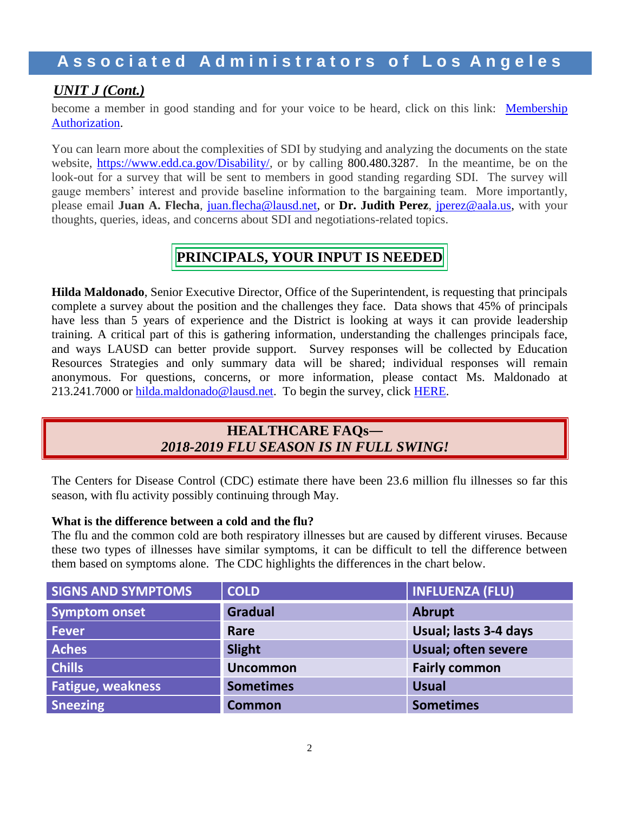### *UNIT J (Cont.)*

become a member in good standing and for your voice to be heard, click on this link: Membership [Authorization.](https://docs.google.com/forms/d/e/1FAIpQLSdZ_DMvGjsgCoxsxmQMEe-j-mJ75_PFrGieMFFhkMB78XsN4Q/viewform)

You can learn more about the complexities of SDI by studying and analyzing the documents on the state website, [https://www.edd.ca.gov/Disability/,](https://nam03.safelinks.protection.outlook.com/?url=https%3A%2F%2Fwww.edd.ca.gov%2FDisability%2F&data=02%7C01%7Cjuan.flecha%40lausd.net%7C4dc7bf3f4d95492d85a408d69b834735%7C042a40a1b1284ac48648016ffa121487%7C0%7C0%7C636867385476215236&sdata=RfxOk7YbGeSSldcBNWVeSUx9ERTmg%2FSCBVViKnMT4%2FY%3D&reserved=0) or by calling 800.480.3287. In the meantime, be on the look-out for a survey that will be sent to members in good standing regarding SDI. The survey will gauge members' interest and provide baseline information to the bargaining team. More importantly, please email **Juan A. Flecha**, [juan.flecha@lausd.net,](mailto:juan.flecha@lausd.net) or **Dr. Judith Perez**, [jperez@aala.us,](mailto:jperez@aala.us) with your thoughts, queries, ideas, and concerns about SDI and negotiations-related topics.

### **PRINCIPALS, YOUR INPUT IS NEEDED**

**Hilda Maldonado**, Senior Executive Director, Office of the Superintendent, is requesting that principals complete a survey about the position and the challenges they face. Data shows that 45% of principals have less than 5 years of experience and the District is looking at ways it can provide leadership training. A critical part of this is gathering information, understanding the challenges principals face, and ways LAUSD can better provide support. Survey responses will be collected by Education Resources Strategies and only summary data will be shared; individual responses will remain anonymous. For questions, concerns, or more information, please contact Ms. Maldonado at 213.241.7000 or [hilda.maldonado@lausd.net.](mailto:hilda.maldonado@lausd.net) To begin the survey, click [HERE.](https://www.surveymonkey.com/r/Schl-Ldrs-LAUSD)

### **HEALTHCARE FAQs―** *2018-2019 FLU SEASON IS IN FULL SWING!*

The Centers for Disease Control (CDC) estimate there have been 23.6 million flu illnesses so far this season, with flu activity possibly continuing through May.

### **What is the difference between a cold and the flu?**

The flu and the common cold are both respiratory illnesses but are caused by different viruses. Because these two types of illnesses have similar symptoms, it can be difficult to tell the difference between them based on symptoms alone. The CDC highlights the differences in the chart below.

| <b>SIGNS AND SYMPTOMS</b> | <b>COLD</b>      | <b>INFLUENZA (FLU)</b>     |
|---------------------------|------------------|----------------------------|
| <b>Symptom onset</b>      | <b>Gradual</b>   | <b>Abrupt</b>              |
| <b>Fever</b>              | Rare             | Usual; lasts 3-4 days      |
| <b>Aches</b>              | Slight           | <b>Usual; often severe</b> |
| <b>Chills</b>             | <b>Uncommon</b>  | <b>Fairly common</b>       |
| <b>Fatigue, weakness</b>  | <b>Sometimes</b> | <b>Usual</b>               |
| <b>Sneezing</b>           | <b>Common</b>    | <b>Sometimes</b>           |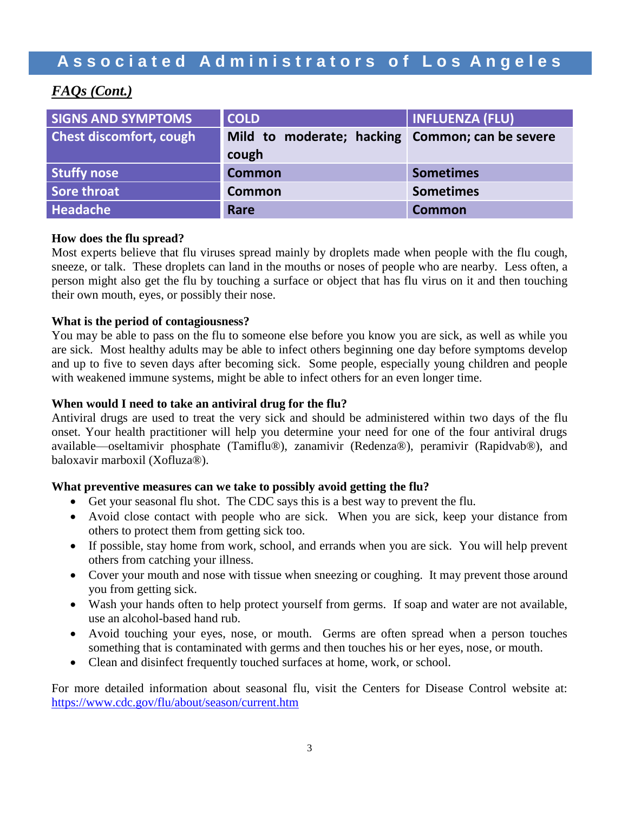### *FAQs (Cont.)*

| <b>SIGNS AND SYMPTOMS</b>      | <b>COLD</b>                                              | <b>INFLUENZA (FLU)</b> |
|--------------------------------|----------------------------------------------------------|------------------------|
| <b>Chest discomfort, cough</b> | Mild to moderate; hacking Common; can be severe<br>cough |                        |
| <b>Stuffy nose</b>             | <b>Common</b>                                            | <b>Sometimes</b>       |
| Sore throat                    | <b>Common</b>                                            | <b>Sometimes</b>       |
| Headache                       | Rare                                                     | <b>Common</b>          |

### **How does the flu spread?**

Most experts believe that flu viruses spread mainly by droplets made when people with the flu cough, sneeze, or talk. These droplets can land in the mouths or noses of people who are nearby. Less often, a person might also get the flu by touching a surface or object that has flu virus on it and then touching their own mouth, eyes, or possibly their nose.

### **What is the period of contagiousness?**

You may be able to pass on the flu to someone else before you know you are sick, as well as while you are sick. Most healthy adults may be able to infect others beginning one day before symptoms develop and up to five to seven days after becoming sick. Some people, especially young children and people with weakened immune systems, might be able to infect others for an even longer time.

### **When would I need to take an antiviral drug for the flu?**

Antiviral drugs are used to treat the very sick and should be administered within two days of the flu onset. Your health practitioner will help you determine your need for one of the four antiviral drugs available—oseltamivir phosphate (Tamiflu®), zanamivir (Redenza®), peramivir (Rapidvab®), and baloxavir marboxil (Xofluza®).

### **What preventive measures can we take to possibly avoid getting the flu?**

- Get your seasonal flu shot. The CDC says this is a best way to prevent the flu.
- Avoid close contact with people who are sick. When you are sick, keep your distance from others to protect them from getting sick too.
- If possible, stay home from work, school, and errands when you are sick. You will help prevent others from catching your illness.
- Cover your mouth and nose with tissue when sneezing or coughing. It may prevent those around you from getting sick.
- Wash your hands often to help protect yourself from germs. If soap and water are not available, use an alcohol-based hand rub.
- Avoid touching your eyes, nose, or mouth. Germs are often spread when a person touches something that is contaminated with germs and then touches his or her eyes, nose, or mouth.
- Clean and disinfect frequently touched surfaces at home, work, or school.

For more detailed information about seasonal flu, visit the Centers for Disease Control website at: https://www.cdc.gov/flu/about/season/current.htm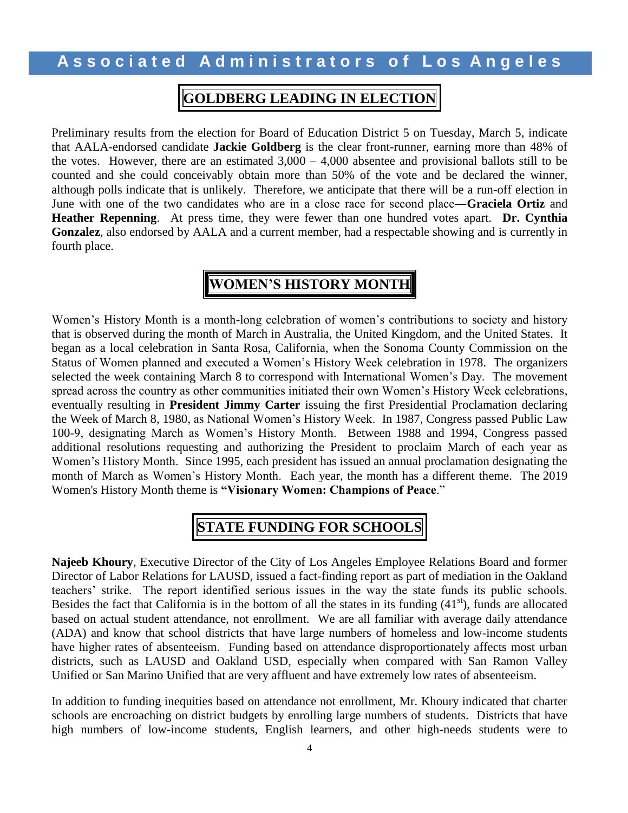### **GOLDBERG LEADING IN ELECTION**

Preliminary results from the election for Board of Education District 5 on Tuesday, March 5, indicate that AALA-endorsed candidate **Jackie Goldberg** is the clear front-runner, earning more than 48% of the votes. However, there are an estimated  $3,000 - 4,000$  absentee and provisional ballots still to be counted and she could conceivably obtain more than 50% of the vote and be declared the winner, although polls indicate that is unlikely. Therefore, we anticipate that there will be a run-off election in June with one of the two candidates who are in a close race for second place―**Graciela Ortiz** and **Heather Repenning**. At press time, they were fewer than one hundred votes apart. **Dr. Cynthia Gonzalez**, also endorsed by AALA and a current member, had a respectable showing and is currently in fourth place.

### **WOMEN'S HISTORY MONTH**

Women's History Month is a month-long celebration of women's contributions to society and history that is observed during the month of March in Australia, the United Kingdom, and the United States. It began as a local celebration in Santa Rosa, California, when the Sonoma County Commission on the Status of Women planned and executed a Women's History Week celebration in 1978. The organizers selected the week containing March 8 to correspond with International Women's Day. The movement spread across the country as other communities initiated their own Women's History Week celebrations, eventually resulting in **President Jimmy Carter** issuing the first Presidential Proclamation declaring the Week of March 8, 1980, as National Women's History Week. In 1987, Congress passed Public Law 100-9, designating March as Women's History Month. Between 1988 and 1994, Congress passed additional resolutions requesting and authorizing the President to proclaim March of each year as Women's History Month. Since 1995, each president has issued an annual proclamation designating the month of March as Women's History Month. Each year, the month has a different theme. The 2019 Women's History Month theme is **"Visionary Women: Champions of Peace**."

### **STATE FUNDING FOR SCHOOLS**

**Najeeb Khoury**, Executive Director of the City of Los Angeles Employee Relations Board and former Director of Labor Relations for LAUSD, issued a fact-finding report as part of mediation in the Oakland teachers' strike. The report identified serious issues in the way the state funds its public schools. Besides the fact that California is in the bottom of all the states in its funding  $(41<sup>st</sup>)$ , funds are allocated based on actual student attendance, not enrollment. We are all familiar with average daily attendance (ADA) and know that school districts that have large numbers of homeless and low-income students have higher rates of absenteeism. Funding based on attendance disproportionately affects most urban districts, such as LAUSD and Oakland USD, especially when compared with San Ramon Valley Unified or San Marino Unified that are very affluent and have extremely low rates of absenteeism.

In addition to funding inequities based on attendance not enrollment, Mr. Khoury indicated that charter schools are encroaching on district budgets by enrolling large numbers of students. Districts that have high numbers of low-income students, English learners, and other high-needs students were to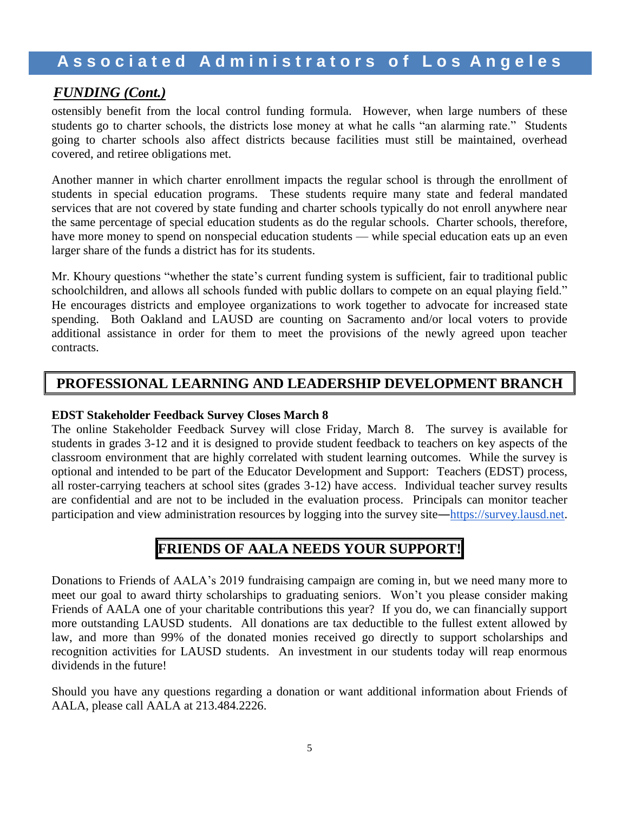### *FUNDING (Cont.)*

ostensibly benefit from the local control funding formula. However, when large numbers of these students go to charter schools, the districts lose money at what he calls "an alarming rate." Students going to charter schools also affect districts because facilities must still be maintained, overhead covered, and retiree obligations met.

Another manner in which charter enrollment impacts the regular school is through the enrollment of students in special education programs. These students require many state and federal mandated services that are not covered by state funding and charter schools typically do not enroll anywhere near the same percentage of special education students as do the regular schools. Charter schools, therefore, have more money to spend on nonspecial education students — while special education eats up an even larger share of the funds a district has for its students.

Mr. Khoury questions "whether the state's current funding system is sufficient, fair to traditional public schoolchildren, and allows all schools funded with public dollars to compete on an equal playing field." He encourages districts and employee organizations to work together to advocate for increased state spending. Both Oakland and LAUSD are counting on Sacramento and/or local voters to provide additional assistance in order for them to meet the provisions of the newly agreed upon teacher contracts.

### **PROFESSIONAL LEARNING AND LEADERSHIP DEVELOPMENT BRANCH**

#### **EDST Stakeholder Feedback Survey Closes March 8**

The online Stakeholder Feedback Survey will close Friday, March 8. The survey is available for students in grades 3-12 and it is designed to provide student feedback to teachers on key aspects of the classroom environment that are highly correlated with student learning outcomes. While the survey is optional and intended to be part of the Educator Development and Support: Teachers (EDST) process, all roster-carrying teachers at school sites (grades 3-12) have access. Individual teacher survey results are confidential and are not to be included in the evaluation process. Principals can monitor teacher participation and view administration resources by logging into the survey site[―https://survey.lausd.net.](https://survey.lausd.net/)

### **FRIENDS OF AALA NEEDS YOUR SUPPORT!**

Donations to Friends of AALA's 2019 fundraising campaign are coming in, but we need many more to meet our goal to award thirty scholarships to graduating seniors. Won't you please consider making Friends of AALA one of your charitable contributions this year? If you do, we can financially support more outstanding LAUSD students. All donations are tax deductible to the fullest extent allowed by law, and more than 99% of the donated monies received go directly to support scholarships and recognition activities for LAUSD students. An investment in our students today will reap enormous dividends in the future!

Should you have any questions regarding a donation or want additional information about Friends of AALA, please call AALA at 213.484.2226.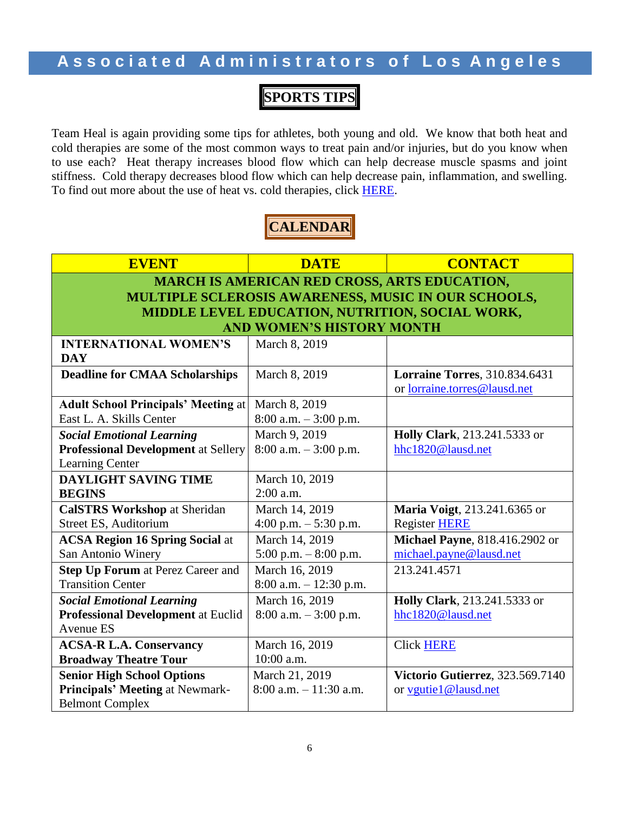### **SPORTS TIPS**

Team Heal is again providing some tips for athletes, both young and old. We know that both heat and cold therapies are some of the most common ways to treat pain and/or injuries, but do you know when to use each? Heat therapy increases blood flow which can help decrease muscle spasms and joint stiffness. Cold therapy decreases blood flow which can help decrease pain, inflammation, and swelling. To find out more about the use of heat vs. cold therapies, click **HERE**.

### **CALENDAR**

### **EVENT DATE CONTACT MARCH IS AMERICAN RED CROSS, ARTS EDUCATION, MULTIPLE SCLEROSIS AWARENESS, MUSIC IN OUR SCHOOLS, MIDDLE LEVEL EDUCATION, NUTRITION, SOCIAL WORK, AND WOMEN'S HISTORY MONTH**

| <b>INTERNATIONAL WOMEN'S</b>               | March 8, 2019             |                                       |
|--------------------------------------------|---------------------------|---------------------------------------|
| <b>DAY</b>                                 |                           |                                       |
| <b>Deadline for CMAA Scholarships</b>      | March 8, 2019             | <b>Lorraine Torres</b> , 310.834.6431 |
|                                            |                           | or lorraine.torres@lausd.net          |
| <b>Adult School Principals' Meeting at</b> | March 8, 2019             |                                       |
| East L. A. Skills Center                   | $8:00$ a.m. $-3:00$ p.m.  |                                       |
| <b>Social Emotional Learning</b>           | March 9, 2019             | Holly Clark, 213.241.5333 or          |
| <b>Professional Development at Sellery</b> | $8:00$ a.m. $-3:00$ p.m.  | hhc1820@lausd.net                     |
| <b>Learning Center</b>                     |                           |                                       |
| <b>DAYLIGHT SAVING TIME</b>                | March 10, 2019            |                                       |
| <b>BEGINS</b>                              | $2:00$ a.m.               |                                       |
| <b>CalSTRS Workshop at Sheridan</b>        | March 14, 2019            | <b>Maria Voigt, 213.241.6365 or</b>   |
| Street ES, Auditorium                      | 4:00 p.m. $-5:30$ p.m.    | <b>Register HERE</b>                  |
| <b>ACSA Region 16 Spring Social at</b>     | March 14, 2019            | Michael Payne, 818.416.2902 or        |
| San Antonio Winery                         | $5:00$ p.m. $-8:00$ p.m.  | michael.payne@lausd.net               |
| <b>Step Up Forum at Perez Career and</b>   | March 16, 2019            | 213.241.4571                          |
| <b>Transition Center</b>                   | $8:00$ a.m. $-12:30$ p.m. |                                       |
| <b>Social Emotional Learning</b>           | March 16, 2019            | Holly Clark, 213.241.5333 or          |
| <b>Professional Development at Euclid</b>  | $8:00$ a.m. $-3:00$ p.m.  | hhc1820@lausd.net                     |
| Avenue ES                                  |                           |                                       |
| <b>ACSA-R L.A. Conservancy</b>             | March 16, 2019            | <b>Click HERE</b>                     |
| <b>Broadway Theatre Tour</b>               | $10:00$ a.m.              |                                       |
| <b>Senior High School Options</b>          | March 21, 2019            | Victorio Gutierrez, 323.569.7140      |
| <b>Principals' Meeting at Newmark-</b>     | $8:00$ a.m. $-11:30$ a.m. | or vgutie1@lausd.net                  |
| <b>Belmont Complex</b>                     |                           |                                       |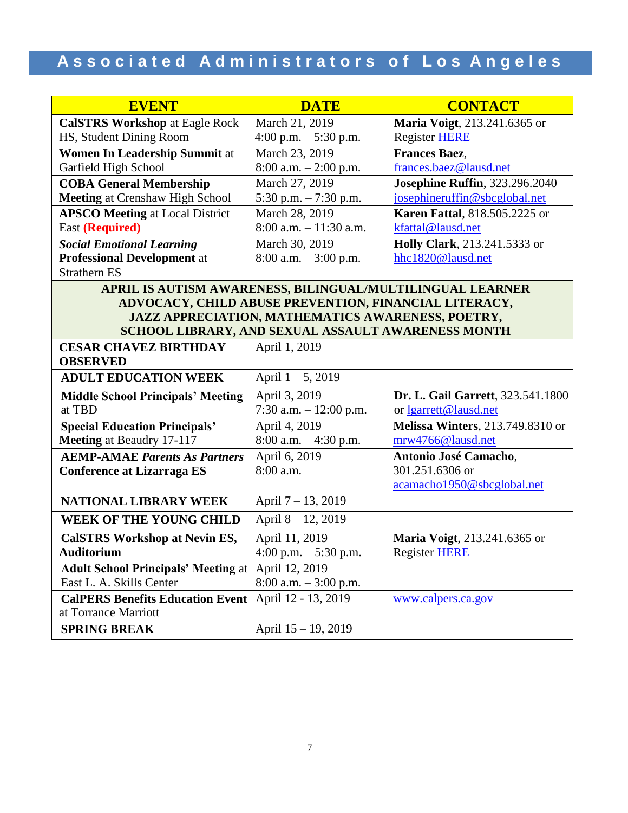| <b>EVENT</b>                                              | <b>DATE</b>                                           | <b>CONTACT</b>                           |
|-----------------------------------------------------------|-------------------------------------------------------|------------------------------------------|
| <b>CalSTRS Workshop at Eagle Rock</b>                     | March 21, 2019                                        | Maria Voigt, 213.241.6365 or             |
| HS, Student Dining Room                                   | 4:00 p.m. $-$ 5:30 p.m.                               | <b>Register HERE</b>                     |
| Women In Leadership Summit at                             | March 23, 2019                                        | <b>Frances Baez.</b>                     |
| Garfield High School                                      | $8:00$ a.m. $-2:00$ p.m.                              | frances.baez@lausd.net                   |
| <b>COBA General Membership</b>                            | March 27, 2019                                        | <b>Josephine Ruffin</b> , 323.296.2040   |
| <b>Meeting at Crenshaw High School</b>                    | 5:30 p.m. $-7:30$ p.m.                                | josephineruffin@sbcglobal.net            |
| <b>APSCO Meeting at Local District</b>                    | March 28, 2019                                        | <b>Karen Fattal, 818.505.2225 or</b>     |
| <b>East (Required)</b>                                    | $8:00$ a.m. $-11:30$ a.m.                             | kfattal@lausd.net                        |
| <b>Social Emotional Learning</b>                          | March 30, 2019                                        | Holly Clark, 213.241.5333 or             |
| <b>Professional Development at</b>                        | $8:00$ a.m. $-3:00$ p.m.                              | hhc1820@lausd.net                        |
| <b>Strathern ES</b>                                       |                                                       |                                          |
| APRIL IS AUTISM AWARENESS, BILINGUAL/MULTILINGUAL LEARNER |                                                       |                                          |
|                                                           | ADVOCACY, CHILD ABUSE PREVENTION, FINANCIAL LITERACY, |                                          |
|                                                           | JAZZ APPRECIATION, MATHEMATICS AWARENESS, POETRY,     |                                          |
|                                                           | SCHOOL LIBRARY, AND SEXUAL ASSAULT AWARENESS MONTH    |                                          |
| <b>CESAR CHAVEZ BIRTHDAY</b>                              | April 1, 2019                                         |                                          |
| <b>OBSERVED</b>                                           |                                                       |                                          |
| <b>ADULT EDUCATION WEEK</b>                               | April $1 - 5$ , 2019                                  |                                          |
| <b>Middle School Principals' Meeting</b>                  | April 3, 2019                                         | Dr. L. Gail Garrett, 323.541.1800        |
| at TBD                                                    | 7:30 a.m. - 12:00 p.m.                                | or lgarrett@lausd.net                    |
| <b>Special Education Principals'</b>                      | April 4, 2019                                         | <b>Melissa Winters</b> , 213.749.8310 or |
| Meeting at Beaudry 17-117                                 | $8:00$ a.m. $-4:30$ p.m.                              | mrw4766@lausd.net                        |
| <b>AEMP-AMAE Parents As Partners</b>                      | April 6, 2019                                         | Antonio José Camacho,                    |
| <b>Conference at Lizarraga ES</b>                         | 8:00 a.m.                                             | 301.251.6306 or                          |
|                                                           |                                                       | acamacho1950@sbcglobal.net               |
| <b>NATIONAL LIBRARY WEEK</b>                              | April 7 – 13, 2019                                    |                                          |
| <b>WEEK OF THE YOUNG CHILD</b>                            | April 8-12, 2019                                      |                                          |
| <b>CalSTRS Workshop at Nevin ES,</b>                      | April 11, 2019                                        | Maria Voigt, 213.241.6365 or             |
| <b>Auditorium</b>                                         | 4:00 p.m. $-$ 5:30 p.m.                               | Register HERE                            |
| <b>Adult School Principals' Meeting at</b>                | April 12, 2019                                        |                                          |
| East L. A. Skills Center                                  | $8:00$ a.m. $-3:00$ p.m.                              |                                          |
| <b>CalPERS Benefits Education Event</b>                   | April 12 - 13, 2019                                   | www.calpers.ca.gov                       |
| at Torrance Marriott                                      |                                                       |                                          |
| <b>SPRING BREAK</b>                                       | April 15 - 19, 2019                                   |                                          |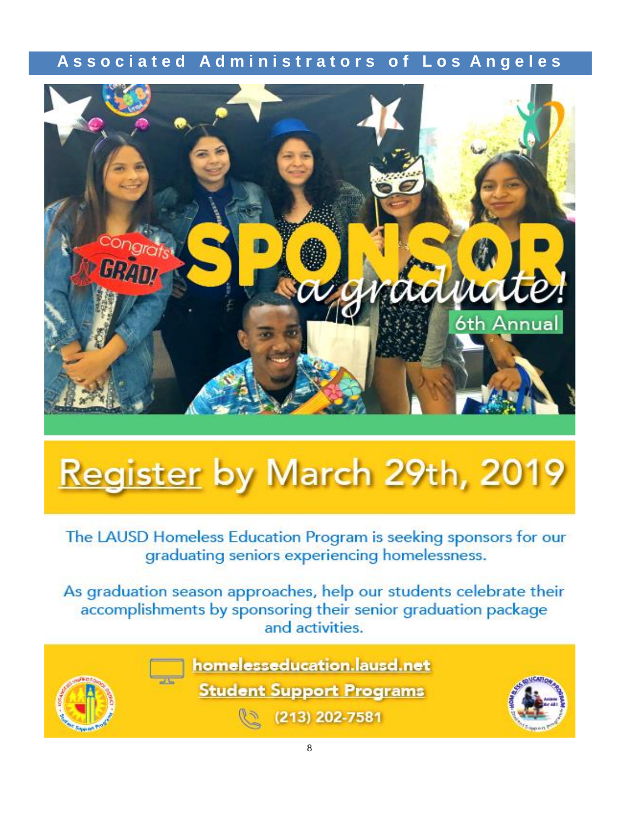

# Register by March 29th, 2019

The LAUSD Homeless Education Program is seeking sponsors for our graduating seniors experiencing homelessness.

As graduation season approaches, help our students celebrate their accomplishments by sponsoring their senior graduation package and activities.



homelesseducation.lausd.net

**Student Support Programs** 



(213) 202-7581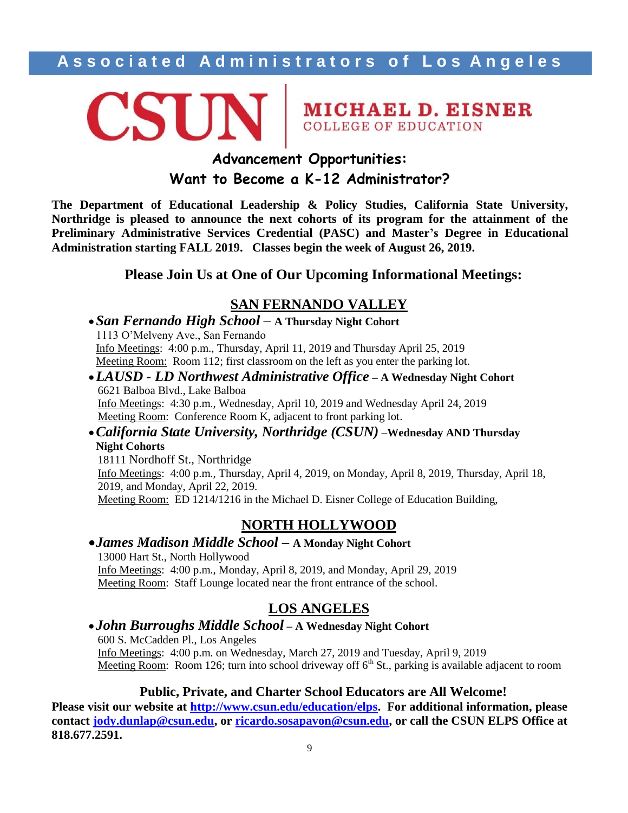# CSUN MICHAEL D. EISNER

### **Advancement Opportunities: Want to Become a K-12 Administrator?**

**The Department of Educational Leadership & Policy Studies, California State University, Northridge is pleased to announce the next cohorts of its program for the attainment of the Preliminary Administrative Services Credential (PASC) and Master's Degree in Educational Administration starting FALL 2019. Classes begin the week of August 26, 2019.**

### **Please Join Us at One of Our Upcoming Informational Meetings:**

### **SAN FERNANDO VALLEY**

- *San Fernando High School* **A Thursday Night Cohort** 1113 O'Melveny Ave., San Fernando Info Meetings: 4:00 p.m., Thursday, April 11, 2019 and Thursday April 25, 2019 Meeting Room: Room 112; first classroom on the left as you enter the parking lot.
- *LAUSD - LD Northwest Administrative Office* **– A Wednesday Night Cohort** 6621 Balboa Blvd., Lake Balboa Info Meetings: 4:30 p.m., Wednesday, April 10, 2019 and Wednesday April 24, 2019 Meeting Room: Conference Room K, adjacent to front parking lot.
- *California State University, Northridge (CSUN)* **–Wednesday AND Thursday Night Cohorts**

18111 Nordhoff St., Northridge Info Meetings: 4:00 p.m., Thursday, April 4, 2019, on Monday, April 8, 2019, Thursday, April 18, 2019, and Monday, April 22, 2019. Meeting Room: ED 1214/1216 in the Michael D. Eisner College of Education Building,

### **NORTH HOLLYWOOD**

### *James Madison Middle School –* **A Monday Night Cohort** 13000 Hart St., North Hollywood Info Meetings: 4:00 p.m., Monday, April 8, 2019, and Monday, April 29, 2019 Meeting Room: Staff Lounge located near the front entrance of the school.

### **LOS ANGELES**

### *John Burroughs Middle School* **– A Wednesday Night Cohort**

600 S. McCadden Pl., Los Angeles Info Meetings: 4:00 p.m. on Wednesday, March 27, 2019 and Tuesday, April 9, 2019 Meeting Room: Room 126; turn into school driveway off  $6<sup>th</sup>$  St., parking is available adjacent to room

### **Public, Private, and Charter School Educators are All Welcome!**

**Please visit our website at [http://www.csun.edu/education/elps.](http://www.csun.edu/education/elps) For additional information, please contact [jody.dunlap@csun.edu,](mailto:jody.dunlap@csun.edu) or [ricardo.sosapavon@csun.edu,](mailto:ricardo.sosapavon@csun.edu) or call the CSUN ELPS Office at 818.677.2591.**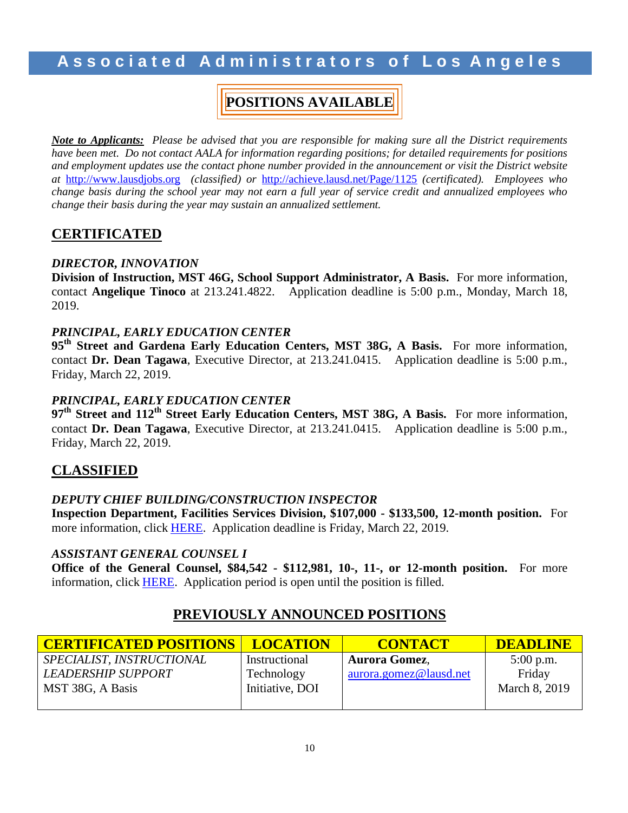### **POSITIONS AVAILABLE**

*Note to Applicants: Please be advised that you are responsible for making sure all the District requirements have been met. Do not contact AALA for information regarding positions; for detailed requirements for positions and employment updates use the contact phone number provided in the announcement or visit the District website at* [http://www.lausdjobs.org](http://www.lausdjobs.org/) *(classified) or* <http://achieve.lausd.net/Page/1125> *(certificated). Employees who change basis during the school year may not earn a full year of service credit and annualized employees who change their basis during the year may sustain an annualized settlement.*

### **CERTIFICATED**

### *DIRECTOR, INNOVATION*

**Division of Instruction, MST 46G, School Support Administrator, A Basis.** For more information, contact **Angelique Tinoco** at 213.241.4822. Application deadline is 5:00 p.m., Monday, March 18, 2019.

### *PRINCIPAL, EARLY EDUCATION CENTER*

**95th Street and Gardena Early Education Centers, MST 38G, A Basis.** For more information, contact **Dr. Dean Tagawa**, Executive Director, at 213.241.0415. Application deadline is 5:00 p.m., Friday, March 22, 2019.

### *PRINCIPAL, EARLY EDUCATION CENTER*

**97th Street and 112th Street Early Education Centers, MST 38G, A Basis.** For more information, contact **Dr. Dean Tagawa**, Executive Director, at 213.241.0415. Application deadline is 5:00 p.m., Friday, March 22, 2019.

### **CLASSIFIED**

### *DEPUTY CHIEF BUILDING/CONSTRUCTION INSPECTOR*

**Inspection Department, Facilities Services Division, \$107,000 - \$133,500, 12-month position.** For more information, click [HERE.](https://btserec.lausd.net/sap/bc/webdynpro/sap/zerwd_a_refcode_srch_int?sap-client=910) Application deadline is Friday, March 22, 2019.

### *ASSISTANT GENERAL COUNSEL I*

**Office of the General Counsel, \$84,542 - \$112,981, 10-, 11-, or 12-month position.** For more information, click [HERE.](https://btserec.lausd.net/sap/bc/webdynpro/sap/zerwd_a_refcode_srch_int?sap-client=910) Application period is open until the position is filled.

### **PREVIOUSLY ANNOUNCED POSITIONS**

| <b>CERTIFICATED POSITIONS</b> | <b>LOCATION</b> | <b>CONTACT</b>         | DEADLINE      |
|-------------------------------|-----------------|------------------------|---------------|
| SPECIALIST, INSTRUCTIONAL     | Instructional   | <b>Aurora Gomez,</b>   | $5:00$ p.m.   |
| <b>LEADERSHIP SUPPORT</b>     | Technology      | aurora.gomez@lausd.net | Friday        |
| MST 38G, A Basis              | Initiative, DOI |                        | March 8, 2019 |
|                               |                 |                        |               |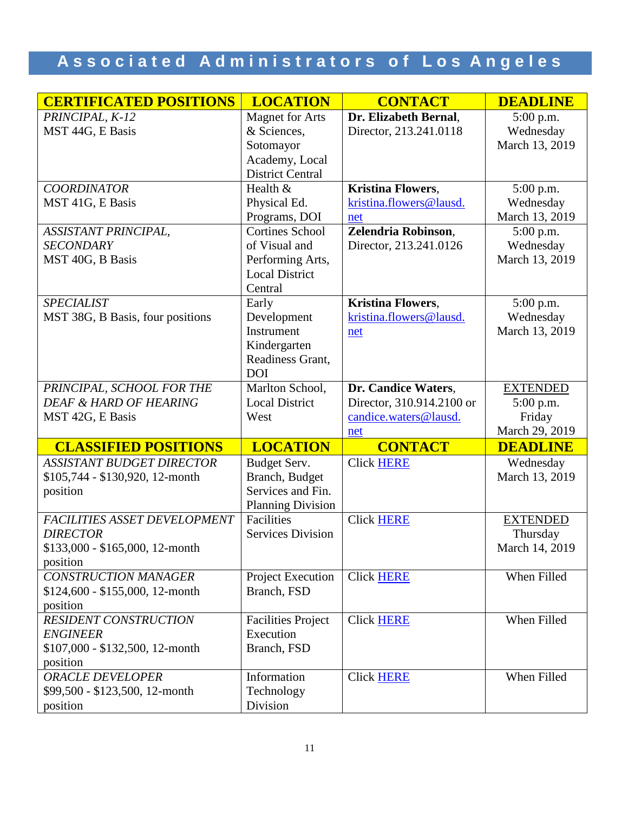| <b>CERTIFICATED POSITIONS</b>       | <b>LOCATION</b>           | <b>CONTACT</b>            | <b>DEADLINE</b> |
|-------------------------------------|---------------------------|---------------------------|-----------------|
| PRINCIPAL, K-12                     | <b>Magnet for Arts</b>    | Dr. Elizabeth Bernal,     | $5:00$ p.m.     |
| MST 44G, E Basis                    | & Sciences,               | Director, 213.241.0118    | Wednesday       |
|                                     | Sotomayor                 |                           | March 13, 2019  |
|                                     | Academy, Local            |                           |                 |
|                                     | <b>District Central</b>   |                           |                 |
| <b>COORDINATOR</b>                  | Health &                  | <b>Kristina Flowers,</b>  | 5:00 p.m.       |
| MST 41G, E Basis                    | Physical Ed.              | kristina.flowers@lausd.   | Wednesday       |
|                                     | Programs, DOI             | net                       | March 13, 2019  |
| ASSISTANT PRINCIPAL,                | <b>Cortines School</b>    | Zelendria Robinson,       | 5:00 p.m.       |
| <b>SECONDARY</b>                    | of Visual and             | Director, 213.241.0126    | Wednesday       |
| MST 40G, B Basis                    | Performing Arts,          |                           | March 13, 2019  |
|                                     | <b>Local District</b>     |                           |                 |
|                                     | Central                   |                           |                 |
| <b>SPECIALIST</b>                   | Early                     | <b>Kristina Flowers,</b>  | 5:00 p.m.       |
| MST 38G, B Basis, four positions    | Development               | kristina.flowers@lausd.   | Wednesday       |
|                                     | Instrument                | net                       | March 13, 2019  |
|                                     | Kindergarten              |                           |                 |
|                                     | Readiness Grant,          |                           |                 |
|                                     | <b>DOI</b>                |                           |                 |
| PRINCIPAL, SCHOOL FOR THE           | Marlton School,           | Dr. Candice Waters,       | <b>EXTENDED</b> |
| <b>DEAF &amp; HARD OF HEARING</b>   | <b>Local District</b>     | Director, 310.914.2100 or | 5:00 p.m.       |
| MST 42G, E Basis                    | West                      | candice.waters@lausd.     | Friday          |
|                                     |                           | net                       | March 29, 2019  |
| <b>CLASSIFIED POSITIONS</b>         | <b>LOCATION</b>           | <b>CONTACT</b>            | <b>DEADLINE</b> |
| <b>ASSISTANT BUDGET DIRECTOR</b>    | Budget Serv.              | <b>Click HERE</b>         | Wednesday       |
| \$105,744 - \$130,920, 12-month     | Branch, Budget            |                           | March 13, 2019  |
| position                            | Services and Fin.         |                           |                 |
|                                     | <b>Planning Division</b>  |                           |                 |
| <b>FACILITIES ASSET DEVELOPMENT</b> | Facilities                | <b>Click HERE</b>         | <b>EXTENDED</b> |
| <b>DIRECTOR</b>                     | <b>Services Division</b>  |                           | Thursday        |
| $$133,000 - $165,000, 12$ -month    |                           |                           | March 14, 2019  |
| position                            |                           |                           |                 |
| <b>CONSTRUCTION MANAGER</b>         | <b>Project Execution</b>  | <b>Click HERE</b>         | When Filled     |
| $$124,600 - $155,000, 12$ -month    | Branch, FSD               |                           |                 |
| position                            |                           |                           |                 |
| <b>RESIDENT CONSTRUCTION</b>        | <b>Facilities Project</b> | <b>Click HERE</b>         | When Filled     |
| <b>ENGINEER</b>                     | Execution                 |                           |                 |
| \$107,000 - \$132,500, 12-month     | Branch, FSD               |                           |                 |
| position                            |                           |                           |                 |
| <b>ORACLE DEVELOPER</b>             | Information               | <b>Click HERE</b>         | When Filled     |
| \$99,500 - \$123,500, 12-month      | Technology                |                           |                 |
| position                            | Division                  |                           |                 |